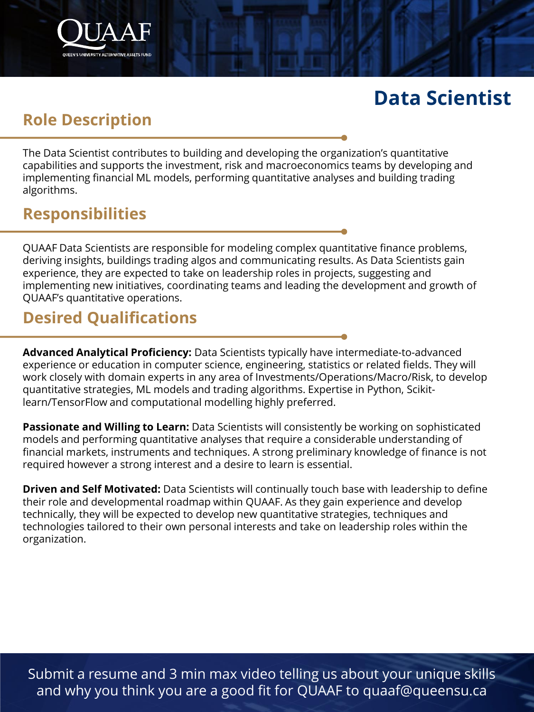## **Data Scientist**

## **Role Description**

The Data Scientist contributes to building and developing the organization's quantitative capabilities and supports the investment, risk and macroeconomics teams by developing and implementing financial ML models, performing quantitative analyses and building trading algorithms.

#### **Responsibilities**

QUAAF Data Scientists are responsible for modeling complex quantitative finance problems, deriving insights, buildings trading algos and communicating results. As Data Scientists gain experience, they are expected to take on leadership roles in projects, suggesting and implementing new initiatives, coordinating teams and leading the development and growth of QUAAF's quantitative operations.

## **Desired Qualifications**

**Advanced Analytical Proficiency:** Data Scientists typically have intermediate-to-advanced experience or education in computer science, engineering, statistics or related fields. They will work closely with domain experts in any area of Investments/Operations/Macro/Risk, to develop quantitative strategies, ML models and trading algorithms. Expertise in Python, Scikitlearn/TensorFlow and computational modelling highly preferred.

**Passionate and Willing to Learn:** Data Scientists will consistently be working on sophisticated models and performing quantitative analyses that require a considerable understanding of financial markets, instruments and techniques. A strong preliminary knowledge of finance is not required however a strong interest and a desire to learn is essential.

**Driven and Self Motivated:** Data Scientists will continually touch base with leadership to define their role and developmental roadmap within QUAAF. As they gain experience and develop technically, they will be expected to develop new quantitative strategies, techniques and technologies tailored to their own personal interests and take on leadership roles within the organization.

Submit a resume and 3 min max video telling us about your unique skills and why you think you are a good fit for QUAAF to quaaf@queensu.ca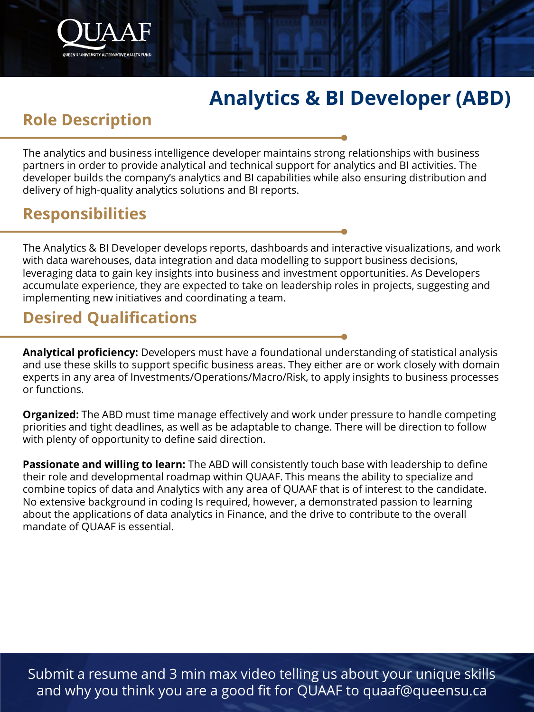# **Analytics & BI Developer (ABD)**

#### **Role Description**

The analytics and business intelligence developer maintains strong relationships with business partners in order to provide analytical and technical support for analytics and BI activities. The developer builds the company's analytics and BI capabilities while also ensuring distribution and delivery of high-quality analytics solutions and BI reports.

#### **Responsibilities**

The Analytics & BI Developer develops reports, dashboards and interactive visualizations, and work with data warehouses, data integration and data modelling to support business decisions, leveraging data to gain key insights into business and investment opportunities. As Developers accumulate experience, they are expected to take on leadership roles in projects, suggesting and implementing new initiatives and coordinating a team.

## **Desired Qualifications**

**Analytical proficiency:** Developers must have a foundational understanding of statistical analysis and use these skills to support specific business areas. They either are or work closely with domain experts in any area of Investments/Operations/Macro/Risk, to apply insights to business processes or functions.

**Organized:** The ABD must time manage effectively and work under pressure to handle competing priorities and tight deadlines, as well as be adaptable to change. There will be direction to follow with plenty of opportunity to define said direction.

**Passionate and willing to learn:** The ABD will consistently touch base with leadership to define their role and developmental roadmap within QUAAF. This means the ability to specialize and combine topics of data and Analytics with any area of QUAAF that is of interest to the candidate. No extensive background in coding Is required, however, a demonstrated passion to learning about the applications of data analytics in Finance, and the drive to contribute to the overall mandate of QUAAF is essential.

Submit a resume and 3 min max video telling us about your unique skills and why you think you are a good fit for QUAAF to quaaf@queensu.ca